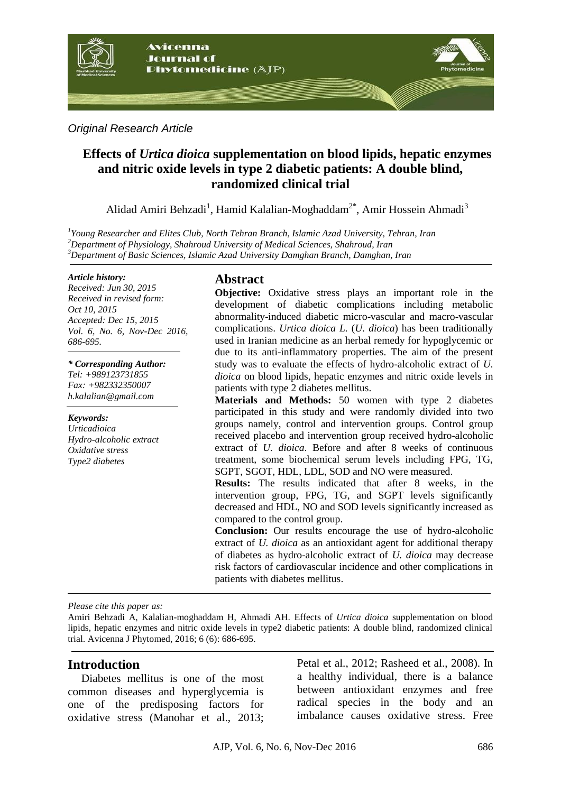

*Original Research Article*

# **Effects of** *Urtica dioica* **supplementation on blood lipids, hepatic enzymes and nitric oxide levels in type 2 diabetic patients: A double blind, randomized clinical trial**

Alidad Amiri Behzadi<sup>1</sup>, Hamid Kalalian-Moghaddam<sup>2\*</sup>, Amir Hossein Ahmadi<sup>3</sup>

*1 Young Researcher and Elites Club, North Tehran Branch, Islamic Azad University, Tehran, Iran <sup>2</sup>Department of Physiology, Shahroud University of Medical Sciences, Shahroud, Iran <sup>3</sup>Department of Basic Sciences, Islamic Azad University Damghan Branch, Damghan, Iran*

#### *Article history:*

*Received: Jun 30, 2015 Received in revised form: Oct 10, 2015 Accepted: Dec 15, 2015 Vol. 6, No. 6, Nov-Dec 2016, 686-695.*

#### *\* Corresponding Author:*

*Tel: +989123731855 Fax: +982332350007 [h.kalalian@gmail.com](mailto:h.kalalian@gmail.com)*

*Keywords: Urticadioica Hydro-alcoholic extract Oxidative stress Type2 diabetes*

# **Abstract**

**Objective:** Oxidative stress plays an important role in the development of diabetic complications including metabolic abnormality-induced diabetic micro-vascular and macro-vascular complications. *Urtica dioica L.* (*U. dioica*) has been traditionally used in Iranian medicine as an herbal remedy for hypoglycemic or due to its anti-inflammatory properties. The aim of the present study was to evaluate the effects of hydro-alcoholic extract of *U. dioica* on blood lipids, hepatic enzymes and nitric oxide levels in patients with type 2 diabetes mellitus.

**Materials and Methods:** 50 women with type 2 diabetes participated in this study and were randomly divided into two groups namely, control and intervention groups. Control group received placebo and intervention group received hydro-alcoholic extract of *U. dioica*. Before and after 8 weeks of continuous treatment, some biochemical serum levels including FPG, TG, SGPT, SGOT, HDL, LDL, SOD and NO were measured.

**Results:** The results indicated that after 8 weeks, in the intervention group, FPG, TG, and SGPT levels significantly decreased and HDL, NO and SOD levels significantly increased as compared to the control group.

**Conclusion:** Our results encourage the use of hydro-alcoholic extract of *U. dioica* as an antioxidant agent for additional therapy of diabetes as hydro-alcoholic extract of *U. dioica* may decrease risk factors of cardiovascular incidence and other complications in patients with diabetes mellitus.

*Please cite this paper as:* 

Amiri Behzadi A, Kalalian-moghaddam H, Ahmadi AH. Effects of *Urtica dioica* supplementation on blood lipids, hepatic enzymes and nitric oxide levels in type2 diabetic patients: A double blind, randomized clinical trial. Avicenna J Phytomed, 2016; 6 (6): 686-695.

# **Introduction**

Diabetes mellitus is one of the most common diseases and hyperglycemia is one of the predisposing factors for oxidative stress (Manohar et al., 2013; Petal et al., 2012; Rasheed et al., 2008). In a healthy individual, there is a balance between antioxidant enzymes and free radical species in the body and an imbalance causes oxidative stress. Free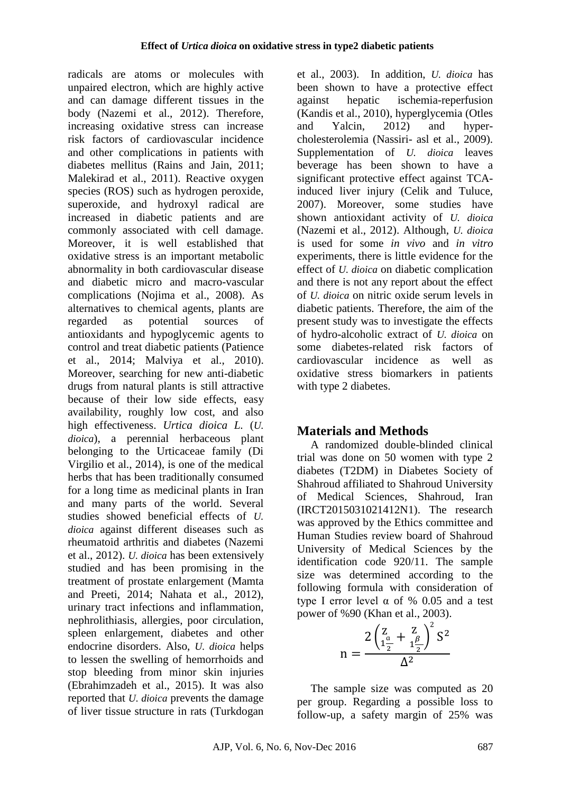radicals are atoms or molecules with unpaired electron, which are highly active and can damage different tissues in the body (Nazemi et al., 2012). Therefore, increasing oxidative stress can increase risk factors of cardiovascular incidence and other complications in patients with diabetes mellitus (Rains and Jain, 2011; Malekirad et al., 2011). Reactive oxygen species (ROS) such as hydrogen peroxide, superoxide, and hydroxyl radical are increased in diabetic patients and are commonly associated with cell damage. Moreover, it is well established that oxidative stress is an important metabolic abnormality in both cardiovascular disease and diabetic micro and macro-vascular complications (Nojima et al., 2008). As alternatives to chemical agents, plants are regarded as potential sources of antioxidants and hypoglycemic agents to control and treat diabetic patients (Patience et al., 2014; Malviya et al., 2010). Moreover, searching for new anti-diabetic drugs from natural plants is still attractive because of their low side effects, easy availability, roughly low cost, and also high effectiveness. *Urtica dioica L.* (*U. dioica*), a perennial herbaceous plant belonging to the Urticaceae family (Di Virgilio et al., 2014), is one of the medical herbs that has been traditionally consumed for a long time as medicinal plants in Iran and many parts of the world. Several studies showed beneficial effects of *U. dioica* against different diseases such as rheumatoid arthritis and diabetes (Nazemi et al., 2012). *U. dioica* has been extensively studied and has been promising in the treatment of prostate enlargement (Mamta and Preeti, 2014; Nahata et al., 2012), urinary tract infections and inflammation, nephrolithiasis, allergies, poor circulation, spleen enlargement, diabetes and other endocrine disorders. Also, *U. dioica* helps to lessen the swelling of hemorrhoids and stop bleeding from minor skin injuries (Ebrahimzadeh et al., 2015). It was also reported that *U. dioica* prevents the damage of liver tissue structure in rats (Turkdogan

et al., 2003). In addition, *U. dioica* has been shown to have a protective effect against hepatic ischemia-reperfusion (Kandis et al., 2010), hyperglycemia (Otles and Yalcin, 2012) and hypercholesterolemia (Nassiri- asl et al., 2009). Supplementation of *U. dioica* leaves beverage has been shown to have a significant protective effect against TCAinduced liver injury (Celik and Tuluce, 2007). Moreover, some studies have shown antioxidant activity of *U. dioica* (Nazemi et al., 2012). Although, *U. dioica* is used for some *in vivo* and *in vitro* experiments, there is little evidence for the effect of *U. dioica* on diabetic complication and there is not any report about the effect of *U. dioica* on nitric oxide serum levels in diabetic patients. Therefore, the aim of the present study was to investigate the effects of hydro-alcoholic extract of *U. dioica* on some diabetes-related risk factors of cardiovascular incidence as well as oxidative stress biomarkers in patients with type 2 diabetes.

# **Materials and Methods**

A randomized double-blinded clinical trial was done on 50 women with type 2 diabetes (T2DM) in Diabetes Society of Shahroud affiliated to Shahroud University of Medical Sciences, Shahroud, Iran (IRCT2015031021412N1). The research was approved by the Ethics committee and Human Studies review board of Shahroud University of Medical Sciences by the identification code 920/11. The sample size was determined according to the following formula with consideration of type I error level α of % 0.05 and a test power of %90 (Khan et al., 2003).

$$
n = \frac{2\left(\frac{Z}{1\frac{\alpha}{2}} + \frac{Z}{1\frac{\beta}{2}}\right)^2 S^2}{\Delta^2}
$$

The sample size was computed as 20 per group. Regarding a possible loss to follow-up, a safety margin of 25% was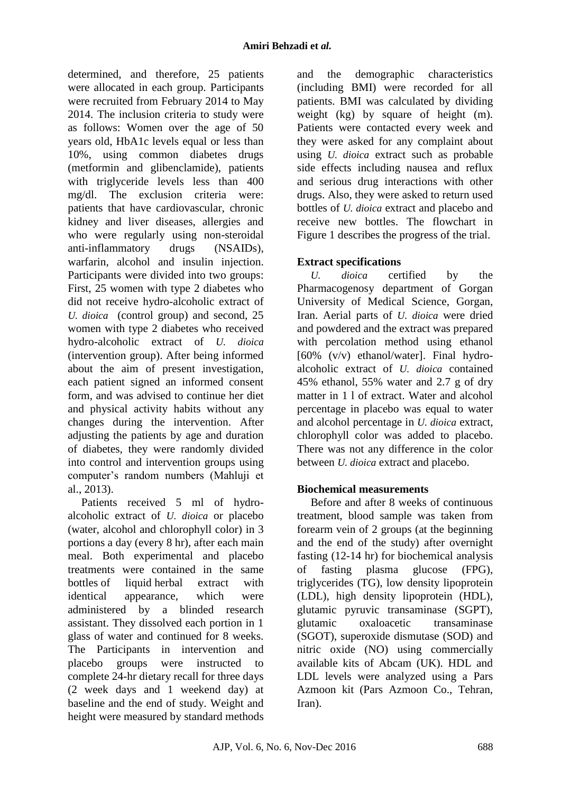determined, and therefore, 25 patients were allocated in each group. Participants were recruited from February 2014 to May 2014. The inclusion criteria to study were as follows: Women over the age of 50 years old, HbA1c levels equal or less than 10%, using common diabetes drugs (metformin and glibenclamide), patients with triglyceride levels less than 400 mg/dl. The exclusion criteria were: patients that have cardiovascular, chronic kidney and liver diseases, allergies and who were regularly using non-steroidal anti-inflammatory drugs (NSAIDs), warfarin, alcohol and insulin injection. Participants were divided into two groups: First, 25 women with type 2 diabetes who did not receive hydro-alcoholic extract of *U. dioica* (control group) and second, 25 women with type 2 diabetes who received hydro-alcoholic extract of *U. dioica* (intervention group). After being informed about the aim of present investigation, each patient signed an informed consent form, and was advised to continue her diet and physical activity habits without any changes during the intervention. After adjusting the patients by age and duration of diabetes, they were randomly divided into control and intervention groups using computer's random numbers (Mahluji et al., 2013).

Patients received 5 ml of hydroalcoholic extract of *U. dioica* or placebo (water, alcohol and chlorophyll color) in 3 portions a day (every 8 hr), after each main meal. Both experimental and placebo treatments were contained in the same bottles of liquid herbal extract with identical appearance, which were administered by a blinded research assistant. They dissolved each portion in 1 glass of water and continued for 8 weeks. The Participants in intervention and placebo groups were instructed to complete 24-hr dietary recall for three days (2 week days and 1 weekend day) at baseline and the end of study. Weight and height were measured by standard methods

and the demographic characteristics (including BMI) were recorded for all patients. BMI was calculated by dividing weight (kg) by square of height (m). Patients were contacted every week and they were asked for any complaint about using *U. dioica* extract such as probable side effects including nausea and reflux and serious drug interactions with other drugs. Also, they were asked to return used bottles of *U. dioica* extract and placebo and receive new bottles. The flowchart in Figure 1 describes the progress of the trial.

# **Extract specifications**

*U. dioica* certified by the Pharmacogenosy department of Gorgan University of Medical Science, Gorgan, Iran. Aerial parts of *U. dioica* were dried and powdered and the extract was prepared with percolation method using ethanol [60% (v/v) ethanol/water]. Final hydroalcoholic extract of *U. dioica* contained 45% ethanol, 55% water and 2.7 g of dry matter in 1 l of extract. Water and alcohol percentage in placebo was equal to water and alcohol percentage in *U. dioica* extract, chlorophyll color was added to placebo. There was not any difference in the color between *U. dioica* extract and placebo.

# **Biochemical measurements**

Before and after 8 weeks of continuous treatment, blood sample was taken from forearm vein of 2 groups (at the beginning and the end of the study) after overnight fasting (12-14 hr) for biochemical analysis of fasting plasma glucose (FPG), triglycerides (TG), low density lipoprotein (LDL), high density lipoprotein (HDL), glutamic pyruvic transaminase (SGPT), glutamic oxaloacetic transaminase (SGOT), superoxide dismutase (SOD) and nitric oxide (NO) using commercially available kits of Abcam (UK). HDL and LDL levels were analyzed using a Pars Azmoon kit (Pars Azmoon Co., Tehran, Iran).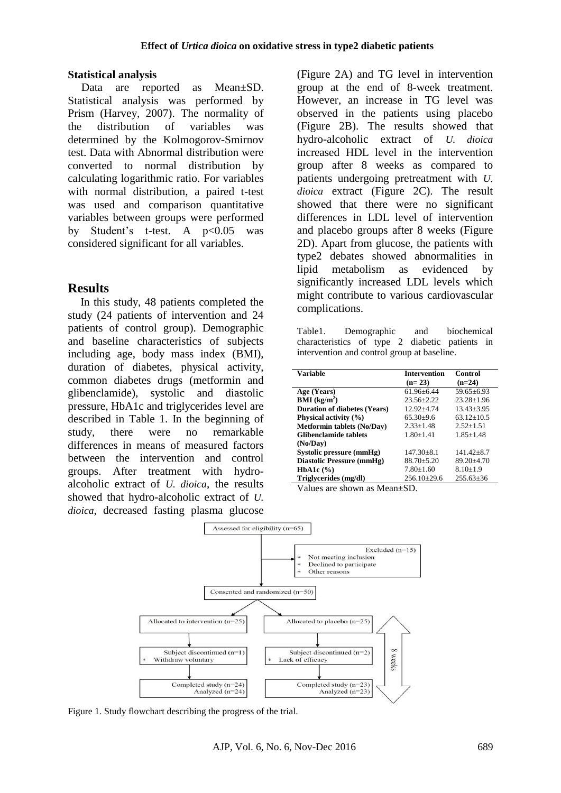#### **Statistical analysis**

Data are reported as Mean±SD. Statistical analysis was performed by Prism (Harvey, 2007). The normality of the distribution of variables was determined by the Kolmogorov-Smirnov test. Data with Abnormal distribution were converted to normal distribution by calculating logarithmic ratio. For variables with normal distribution, a paired t-test was used and comparison quantitative variables between groups were performed by Student's t-test. A p<0.05 was considered significant for all variables.

### **Results**

In this study, 48 patients completed the study (24 patients of intervention and 24 patients of control group). Demographic and baseline characteristics of subjects including age, body mass index (BMI), duration of diabetes, physical activity, common diabetes drugs (metformin and glibenclamide), systolic and diastolic pressure, HbA1c and triglycerides level are described in Table 1. In the beginning of study, there were no remarkable differences in means of measured factors between the intervention and control groups. After treatment with hydroalcoholic extract of *U. dioica*, the results showed that hydro-alcoholic extract of *U. dioica*, decreased fasting plasma glucose

(Figure 2A) and TG level in intervention group at the end of 8-week treatment. However, an increase in TG level was observed in the patients using placebo (Figure 2B). The results showed that hydro-alcoholic extract of *U. dioica* increased HDL level in the intervention group after 8 weeks as compared to patients undergoing pretreatment with *U. dioica* extract (Figure 2C). The result showed that there were no significant differences in LDL level of intervention and placebo groups after 8 weeks (Figure 2D). Apart from glucose, the patients with type2 debates showed abnormalities in lipid metabolism as evidenced by significantly increased LDL levels which might contribute to various cardiovascular complications.

Table1. Demographic and biochemical characteristics of type 2 diabetic patients in intervention and control group at baseline.

| Variable                            | <b>Intervention</b> | Control          |
|-------------------------------------|---------------------|------------------|
|                                     | $(n=23)$            | $(n=24)$         |
| Age (Years)                         | $61.96 + 6.44$      | $59.65 \pm 6.93$ |
| $\mathbf{BMI}$ (kg/m <sup>2</sup> ) | $23.56 + 2.22$      | $23.28 + 1.96$   |
| <b>Duration of diabetes (Years)</b> | $12.92 + 4.74$      | $13.43 + 3.95$   |
| Physical activity $(\% )$           | $65.30+9.6$         | $63.12 + 10.5$   |
| <b>Metformin tablets (No/Day)</b>   | $2.33 + 1.48$       | $2.52 + 1.51$    |
| <b>Glibenclamide tablets</b>        | $1.80 + 1.41$       | $1.85 + 1.48$    |
| (No/Dav)                            |                     |                  |
| Systolic pressure (mmHg)            | $147.30 + 8.1$      | $141.42 + 8.7$   |
| Diastolic Pressure (mmHg)           | $88.70 + 5.20$      | $89.20 + 4.70$   |
| HbA1c $(\% )$                       | $7.80 + 1.60$       | $8.10 + 1.9$     |
| Triglycerides (mg/dl)               | $256.10\pm29.6$     | $255.63\pm36$    |

Values are shown as Mean±SD.



Figure 1. Study flowchart describing the progress of the trial.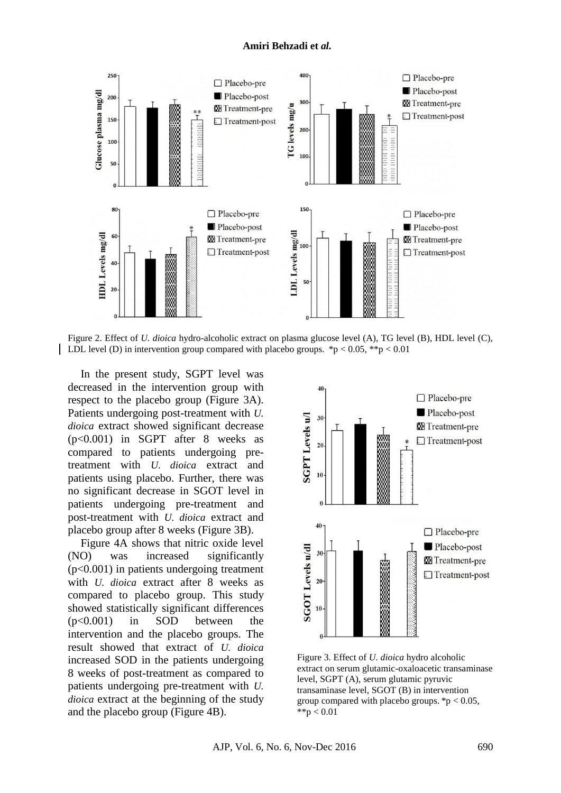#### **Amiri Behzadi et** *al.*



Figure 2. Effect of *U. dioica* hydro-alcoholic extract on plasma glucose level (A), TG level (B), HDL level (C), LDL level (D) in intervention group compared with placebo groups. \*p < 0.05, \*\*p < 0.01

In the present study, SGPT level was decreased in the intervention group with respect to the placebo group (Figure 3A). Patients undergoing post-treatment with *U. dioica* extract showed significant decrease (p<0.001) in SGPT after 8 weeks as compared to patients undergoing pretreatment with *U. dioica* extract and patients using placebo. Further, there was no significant decrease in SGOT level in patients undergoing pre-treatment and post-treatment with *U. dioica* extract and placebo group after 8 weeks (Figure 3B).

Figure 4A shows that nitric oxide level (NO) was increased significantly (p<0.001) in patients undergoing treatment with *U. dioica* extract after 8 weeks as compared to placebo group. This study showed statistically significant differences (p<0.001) in SOD between the intervention and the placebo groups. The result showed that extract of *U. dioica* increased SOD in the patients undergoing 8 weeks of post-treatment as compared to patients undergoing pre-treatment with *U. dioica* extract at the beginning of the study and the placebo group (Figure 4B).



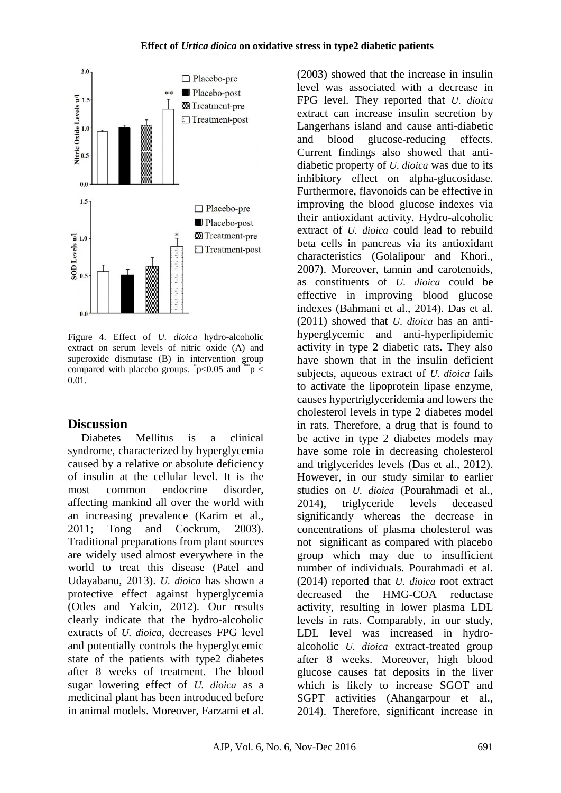

Figure 4. Effect of *U. dioica* hydro-alcoholic extract on serum levels of nitric oxide (A) and superoxide dismutase (B) in intervention group compared with placebo groups.  $p<0.05$  and  $p <$ 0.01.

# **Discussion**

Diabetes Mellitus is a clinical syndrome, characterized by hyperglycemia caused by a relative or absolute deficiency of insulin at the cellular level. It is the most common endocrine disorder, affecting mankind all over the world with an increasing prevalence (Karim et al., 2011; Tong and Cockrum, 2003). Traditional preparations from plant sources are widely used almost everywhere in the world to treat this disease (Patel and Udayabanu, 2013). *U. dioica* has shown a protective effect against hyperglycemia (Otles and Yalcin, 2012). Our results clearly indicate that the hydro-alcoholic extracts of *U. dioica*, decreases FPG level and potentially controls the hyperglycemic state of the patients with type2 diabetes after 8 weeks of treatment. The blood sugar lowering effect of *U. dioica* as a medicinal plant has been introduced before in animal models. Moreover, Farzami et al.

(2003) showed that the increase in insulin level was associated with a decrease in FPG level. They reported that *U. dioica* extract can increase insulin secretion by Langerhans island and cause anti-diabetic and blood glucose-reducing effects. Current findings also showed that antidiabetic property of *U. dioica* was due to its inhibitory effect on alpha-glucosidase. Furthermore, flavonoids can be effective in improving the blood glucose indexes via their antioxidant activity. Hydro-alcoholic extract of *U. dioica* could lead to rebuild beta cells in pancreas via its antioxidant characteristics (Golalipour and Khori., 2007). Moreover, tannin and carotenoids, as constituents of *U. dioica* could be effective in improving blood glucose indexes (Bahmani et al., 2014). Das et al. (2011) showed that *U. dioica* has an antihyperglycemic and anti-hyperlipidemic activity in type 2 diabetic rats. They also have shown that in the insulin deficient subjects, aqueous extract of *U. dioica* fails to activate the lipoprotein lipase enzyme, causes hypertriglyceridemia and lowers the cholesterol levels in type 2 diabetes model in rats. Therefore, a drug that is found to be active in type 2 diabetes models may have some role in decreasing cholesterol and triglycerides levels (Das et al., 2012). However, in our study similar to earlier studies on *U. dioica* (Pourahmadi et al., 2014), triglyceride levels deceased significantly whereas the decrease in concentrations of plasma cholesterol was not significant as compared with placebo group which may due to insufficient number of individuals. Pourahmadi et al. (2014) reported that *U. dioica* root extract decreased the HMG-COA reductase activity, resulting in lower plasma LDL levels in rats. Comparably, in our study, LDL level was increased in hydroalcoholic *U. dioica* extract-treated group after 8 weeks. Moreover, high blood glucose causes fat deposits in the liver which is likely to increase SGOT and SGPT activities (Ahangarpour et al., 2014). Therefore, significant increase in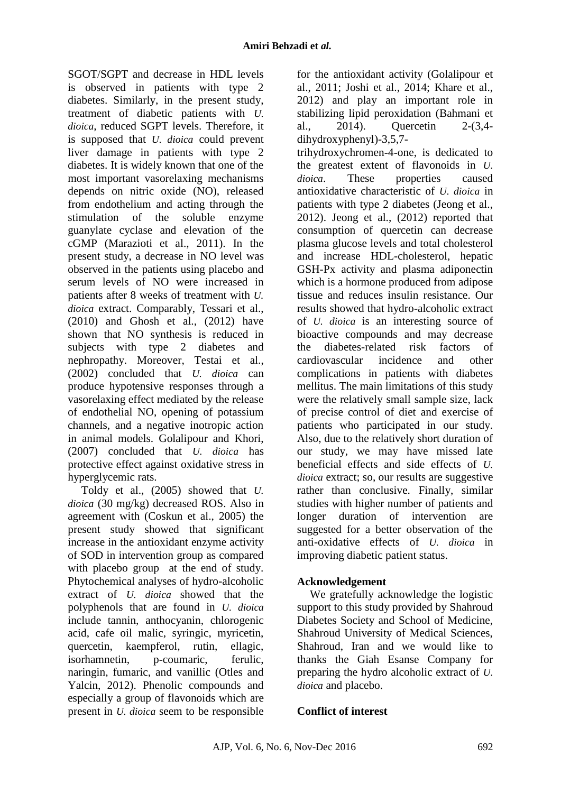SGOT/SGPT and decrease in HDL levels is observed in patients with type 2 diabetes. Similarly, in the present study, treatment of diabetic patients with *U. dioica*, reduced SGPT levels. Therefore, it is supposed that *U. dioica* could prevent liver damage in patients with type 2 diabetes. It is widely known that one of the most important vasorelaxing mechanisms depends on nitric oxide (NO), released from endothelium and acting through the stimulation of the soluble enzyme guanylate cyclase and elevation of the cGMP (Marazioti et al., 2011). In the present study, a decrease in NO level was observed in the patients using placebo and serum levels of NO were increased in patients after 8 weeks of treatment with *U. dioica* extract. Comparably, Tessari et al., (2010) and Ghosh et al., (2012) have shown that NO synthesis is reduced in subjects with type 2 diabetes and nephropathy. Moreover, Testai et al., (2002) concluded that *U. dioica* can produce hypotensive responses through a vasorelaxing effect mediated by the release of endothelial NO, opening of potassium channels, and a negative inotropic action in animal models. Golalipour and Khori, (2007) concluded that *U. dioica* has protective effect against oxidative stress in hyperglycemic rats.

Toldy et al., (2005) showed that *U. dioica* (30 mg/kg) decreased ROS. Also in agreement with (Coskun et al., 2005) the present study showed that significant increase in the antioxidant enzyme activity of SOD in intervention group as compared with placebo group at the end of study. Phytochemical analyses of hydro-alcoholic extract of *U. dioica* showed that the polyphenols that are found in *U. dioica* include tannin, anthocyanin, chlorogenic acid, cafe oil malic, syringic, myricetin, quercetin, kaempferol, rutin, ellagic, isorhamnetin, p-coumaric, ferulic, naringin, fumaric, and vanillic (Otles and Yalcin, 2012). Phenolic compounds and especially a group of flavonoids which are present in *U. dioica* seem to be responsible for the antioxidant activity (Golalipour et al., 2011; Joshi et al., 2014; Khare et al., 2012) and play an important role in stabilizing lipid peroxidation (Bahmani et al., 2014). Quercetin 2-(3,4 dihydroxyphenyl)-3,5,7-

trihydroxychromen-4-one, is dedicated to the greatest extent of flavonoids in *U. dioica*. These properties caused antioxidative characteristic of *U. dioica* in patients with type 2 diabetes (Jeong et al., 2012). Jeong et al., (2012) reported that consumption of quercetin can decrease plasma glucose levels and total cholesterol and increase HDL-cholesterol, hepatic GSH-Px activity and plasma adiponectin which is a hormone produced from adipose tissue and reduces insulin resistance. Our results showed that hydro-alcoholic extract of *U. dioica* is an interesting source of bioactive compounds and may decrease the diabetes-related risk factors of cardiovascular incidence and other complications in patients with diabetes mellitus. The main limitations of this study were the relatively small sample size, lack of precise control of diet and exercise of patients who participated in our study. Also, due to the relatively short duration of our study, we may have missed late beneficial effects and side effects of *U. dioica* extract; so, our results are suggestive rather than conclusive. Finally, similar studies with higher number of patients and longer duration of intervention are suggested for a better observation of the anti-oxidative effects of *U. dioica* in improving diabetic patient status.

# **Acknowledgement**

We gratefully acknowledge the logistic support to this study provided by Shahroud Diabetes Society and School of Medicine, Shahroud University of Medical Sciences, Shahroud, Iran and we would like to thanks the Giah Esanse Company for preparing the hydro alcoholic extract of *U. dioica* and placebo.

# **Conflict of interest**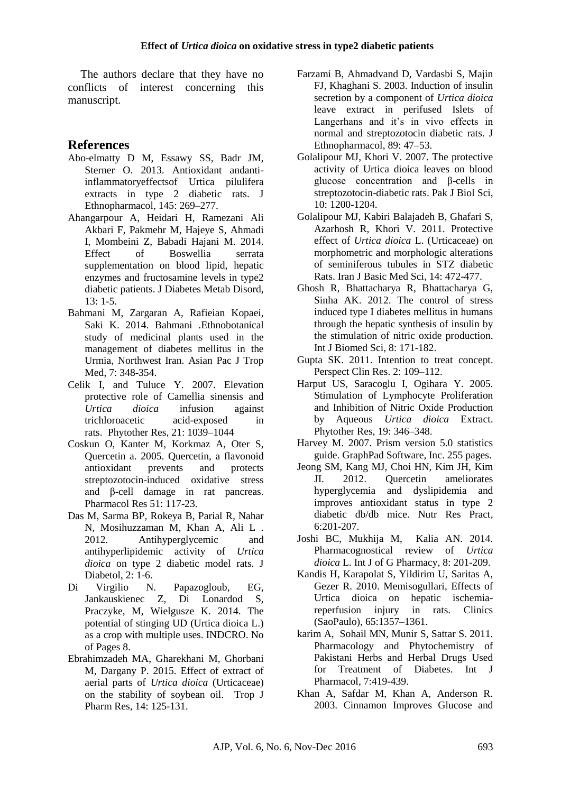The authors declare that they have no conflicts of interest concerning this manuscript.

### **References**

- Abo-elmatty D M, Essawy SS, Badr JM, Sterner O. 2013. Antioxidant andantiinflammatoryeffectsof Urtica pilulifera extracts in type 2 diabetic rats. J Ethnopharmacol, 145: 269–277.
- Ahangarpour A, Heidari H, Ramezani Ali Akbari F, Pakmehr M, Hajeye S, Ahmadi I, Mombeini Z, Babadi Hajani M. 2014. Effect of Boswellia serrata supplementation on blood lipid, hepatic enzymes and fructosamine levels in type2 diabetic patients. J Diabetes Metab Disord, 13: 1-5.
- Bahmani M, Zargaran A, Rafieian Kopaei, Saki K. 2014. Bahmani .Ethnobotanical study of medicinal plants used in the management of diabetes mellitus in the Urmia, Northwest Iran. Asian Pac J Trop Med, 7: 348-354.
- Celik I, and Tuluce Y. 2007. Elevation protective role of Camellia sinensis and *Urtica dioica* infusion against trichloroacetic acid-exposed in rats. Phytother Res, 21: 1039–1044
- Coskun O, Kanter M, Korkmaz A, Oter S, Quercetin a. 2005. Quercetin, a flavonoid antioxidant prevents and protects streptozotocin-induced oxidative stress and β-cell damage in rat pancreas. Pharmacol Res 51: 117-23.
- Das M, Sarma BP, Rokeya B, Parial R, Nahar N, Mosihuzzaman M, Khan A, Ali L . 2012. Antihyperglycemic and antihyperlipidemic activity of *Urtica dioica* on type 2 diabetic model rats. J Diabetol, 2: 1-6.
- Di Virgilio N. Papazogloub, EG, Jankauskienec Z, Di Lonardod S, Praczyke, M, Wielgusze K. 2014. The potential of stinging UD (Urtica dioica L.) as a crop with multiple uses. INDCRO. No of Pages 8.
- Ebrahimzadeh MA, Gharekhani M, Ghorbani M, Dargany P. 2015. Effect of extract of aerial parts of *Urtica dioica* (Urticaceae) on the stability of soybean oil. Trop J Pharm Res, 14: 125-131.
- Farzami B, Ahmadvand D, Vardasbi S, Majin FJ, Khaghani S. 2003. Induction of insulin secretion by a component of *Urtica dioica* leave extract in perifused Islets of Langerhans and it's in vivo effects in normal and streptozotocin diabetic rats. J Ethnopharmacol, 89: 47–53.
- Golalipour MJ, Khori V. 2007. The protective activity of Urtica dioica leaves on blood glucose concentration and β-cells in streptozotocin-diabetic rats. Pak J Biol Sci, 10: 1200-1204.
- Golalipour MJ, Kabiri Balajadeh B, Ghafari S, Azarhosh R, Khori V. 2011. Protective effect of *Urtica dioica* L. (Urticaceae) on morphometric and morphologic alterations of seminiferous tubules in STZ diabetic Rats. Iran J Basic Med Sci, 14: 472-477.
- Ghosh R, Bhattacharya R, Bhattacharya G, Sinha AK. 2012. The control of stress induced type I diabetes mellitus in humans through the hepatic synthesis of insulin by the stimulation of nitric oxide production. Int J Biomed Sci, 8: 171-182.
- Gupta SK. 2011. Intention to treat concept. Perspect Clin Res. 2: 109–112.
- Harput US, Saracoglu I, Ogihara Y. 2005. Stimulation of Lymphocyte Proliferation and Inhibition of Nitric Oxide Production by Aqueous *Urtica dioica* Extract. Phytother Res, 19: 346–348.
- Harvey M. 2007. Prism version 5.0 statistics guide. GraphPad Software, Inc. 255 pages.
- Jeong SM, Kang MJ, Choi HN, Kim JH, Kim JI. 2012. Quercetin ameliorates hyperglycemia and dyslipidemia and improves antioxidant status in type 2 diabetic db/db mice. Nutr Res Pract, 6:201-207.
- Joshi BC, Mukhija M, Kalia AN. 2014. Pharmacognostical review of *Urtica dioica* L. Int J of G Pharmacy, 8: 201-209.
- Kandis H, Karapolat S, Yildirim U, Saritas A, Gezer R. 2010. Memisogullari, Effects of Urtica dioica on hepatic ischemiareperfusion injury in rats. Clinics (SaoPaulo), 65:1357–1361.
- karim A, Sohail MN, Munir S, Sattar S. 2011. Pharmacology and Phytochemistry of Pakistani Herbs and Herbal Drugs Used for Treatment of Diabetes. Int J Pharmacol, 7:419-439.
- Khan A, Safdar M, Khan A, Anderson R. 2003. Cinnamon Improves Glucose and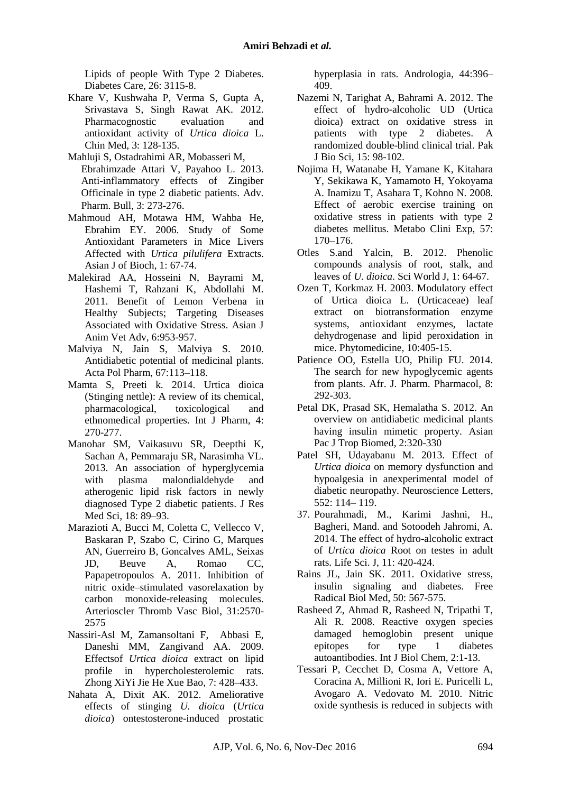Lipids of people With Type 2 Diabetes. Diabetes Care, 26: 3115-8.

- Khare V, Kushwaha P, Verma S, Gupta A, Srivastava S, Singh Rawat AK. 2012. Pharmacognostic evaluation and antioxidant activity of *Urtica dioica* L. Chin Med, 3: 128-135.
- Mahluji S, Ostadrahimi AR, Mobasseri M, Ebrahimzade Attari V, Payahoo L. 2013. Anti-inflammatory effects of Zingiber Officinale in type 2 diabetic patients. Adv. Pharm. Bull, 3: 273-276.
- Mahmoud AH, Motawa HM, Wahba He, Ebrahim EY. 2006. Study of Some Antioxidant Parameters in Mice Livers Affected with *Urtica pilulifera* Extracts. Asian J of Bioch, 1: 67-74.
- Malekirad AA, Hosseini N, Bayrami M, Hashemi T, Rahzani K, Abdollahi M. 2011. Benefit of Lemon Verbena in Healthy Subjects; Targeting Diseases Associated with Oxidative Stress. Asian J Anim Vet Adv, 6:953-957.
- Malviya N, Jain S, Malviya S. 2010. Antidiabetic potential of medicinal plants. Acta Pol Pharm, 67:113–118.
- Mamta S, Preeti k. 2014. Urtica dioica (Stinging nettle): A review of its chemical, pharmacological, toxicological and ethnomedical properties. Int J Pharm, 4: 270-277.
- Manohar SM, Vaikasuvu SR, Deepthi K, Sachan A, Pemmaraju SR, Narasimha VL. 2013. An association of hyperglycemia with plasma malondialdehyde and atherogenic lipid risk factors in newly diagnosed Type 2 diabetic patients. J Res Med Sci, 18: 89–93.
- Marazioti A, Bucci M, Coletta C, Vellecco V, Baskaran P, Szabo C, Cirino G, Marques AN, Guerreiro B, Goncalves AML, Seixas JD, Beuve A, Romao CC, Papapetropoulos A. 2011. Inhibition of nitric oxide–stimulated vasorelaxation by carbon monoxide-releasing molecules. Arterioscler Thromb Vasc Biol, 31:2570- 2575
- Nassiri-Asl M, Zamansoltani F, Abbasi E, Daneshi MM, Zangivand AA. 2009. Effectsof *Urtica dioica* extract on lipid profile in hypercholesterolemic rats. Zhong XiYi Jie He Xue Bao, 7: 428–433.
- Nahata A, Dixit AK. 2012. Ameliorative effects of stinging *U. dioica* (*Urtica dioica*) ontestosterone-induced prostatic

hyperplasia in rats. Andrologia, 44:396– 409.

- Nazemi N, Tarighat A, Bahrami A. 2012. The effect of hydro-alcoholic UD (Urtica dioica) extract on oxidative stress in patients with type 2 diabetes. A randomized double-blind clinical trial. Pak J Bio Sci, 15: 98-102.
- Nojima H, Watanabe H, Yamane K, Kitahara Y, Sekikawa K, Yamamoto H, Yokoyama A. Inamizu T, Asahara T, Kohno N. 2008. Effect of aerobic exercise training on oxidative stress in patients with type 2 diabetes mellitus. Metabo Clini Exp, 57: 170–176.
- Otles S.and Yalcin, B. 2012. Phenolic compounds analysis of root, stalk, and leaves of *U. dioica*. Sci World J, 1: 64-67.
- Ozen T, Korkmaz H. 2003. Modulatory effect of Urtica dioica L. (Urticaceae) leaf extract on biotransformation enzyme systems, antioxidant enzymes, lactate dehydrogenase and lipid peroxidation in mice. Phytomedicine, 10:405-15.
- Patience OO, Estella UO, Philip FU. 2014. The search for new hypoglycemic agents from plants. Afr. J. Pharm. Pharmacol, 8: 292-303.
- Petal DK, Prasad SK, Hemalatha S. 2012. An overview on antidiabetic medicinal plants having insulin mimetic property. Asian Pac J Trop Biomed, 2:320-330
- Patel SH, Udayabanu M. 2013. Effect of *Urtica dioica* on memory dysfunction and hypoalgesia in anexperimental model of diabetic neuropathy. Neuroscience Letters, 552: 114– 119.
- 37. Pourahmadi, M., Karimi Jashni, H., Bagheri, Mand. and Sotoodeh Jahromi, A. 2014. The effect of hydro-alcoholic extract of *Urtica dioica* Root on testes in adult rats. Life Sci. J, 11: 420-424.
- Rains JL, Jain SK. 2011. Oxidative stress, insulin signaling and diabetes. Free Radical Biol Med, 50: 567-575.
- Rasheed Z, Ahmad R, Rasheed N, Tripathi T, Ali R. 2008. Reactive oxygen species damaged hemoglobin present unique epitopes for type 1 diabetes autoantibodies. Int J Biol Chem, 2:1-13.
- Tessari P, Cecchet D, Cosma A, Vettore A, Coracina A, Millioni R, Iori E. Puricelli L, Avogaro A. Vedovato M. 2010. Nitric oxide synthesis is reduced in subjects with